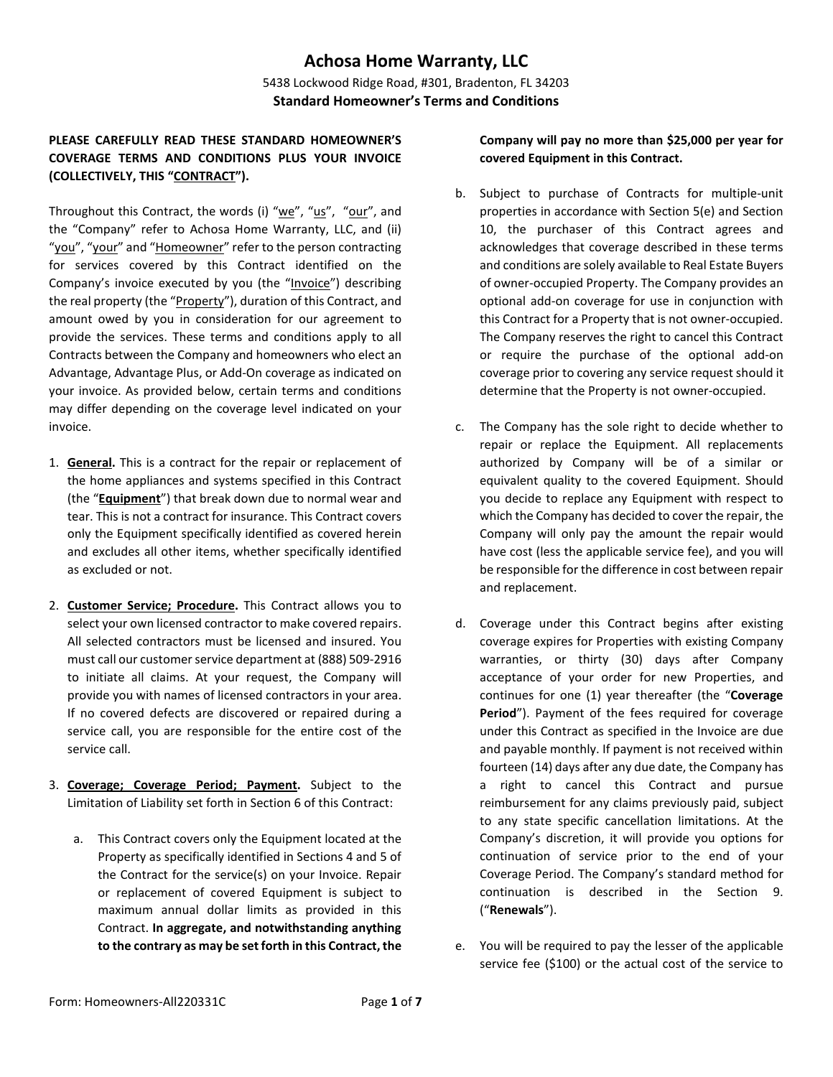# **Achosa Home Warranty, LLC**

5438 Lockwood Ridge Road, #301, Bradenton, FL 34203 **Standard Homeowner's Terms and Conditions**

# **PLEASE CAREFULLY READ THESE STANDARD HOMEOWNER'S COVERAGE TERMS AND CONDITIONS PLUS YOUR INVOICE (COLLECTIVELY, THIS "CONTRACT").**

Throughout this Contract, the words (i) "we", "us", "our", and the "Company" refer to Achosa Home Warranty, LLC, and (ii) "you", "your" and "Homeowner" refer to the person contracting for services covered by this Contract identified on the Company's invoice executed by you (the "Invoice") describing the real property (the "Property"), duration of this Contract, and amount owed by you in consideration for our agreement to provide the services. These terms and conditions apply to all Contracts between the Company and homeowners who elect an Advantage, Advantage Plus, or Add-On coverage as indicated on your invoice. As provided below, certain terms and conditions may differ depending on the coverage level indicated on your invoice.

- 1. **General.** This is a contract for the repair or replacement of the home appliances and systems specified in this Contract (the "**Equipment**") that break down due to normal wear and tear. This is not a contract for insurance. This Contract covers only the Equipment specifically identified as covered herein and excludes all other items, whether specifically identified as excluded or not.
- 2. **Customer Service; Procedure.** This Contract allows you to select your own licensed contractor to make covered repairs. All selected contractors must be licensed and insured. You must call our customer service department at (888) 509-2916 to initiate all claims. At your request, the Company will provide you with names of licensed contractors in your area. If no covered defects are discovered or repaired during a service call, you are responsible for the entire cost of the service call.
- 3. **Coverage; Coverage Period; Payment.** Subject to the Limitation of Liability set forth in Section 6 of this Contract:
	- a. This Contract covers only the Equipment located at the Property as specifically identified in Sections 4 and 5 of the Contract for the service(s) on your Invoice. Repair or replacement of covered Equipment is subject to maximum annual dollar limits as provided in this Contract. **In aggregate, and notwithstanding anything to the contrary as may be set forth in this Contract, the**

**Company will pay no more than \$25,000 per year for covered Equipment in this Contract.**

- b. Subject to purchase of Contracts for multiple-unit properties in accordance with Section 5(e) and Section 10, the purchaser of this Contract agrees and acknowledges that coverage described in these terms and conditions are solely available to Real Estate Buyers of owner-occupied Property. The Company provides an optional add-on coverage for use in conjunction with this Contract for a Property that is not owner-occupied. The Company reserves the right to cancel this Contract or require the purchase of the optional add-on coverage prior to covering any service request should it determine that the Property is not owner-occupied.
- c. The Company has the sole right to decide whether to repair or replace the Equipment. All replacements authorized by Company will be of a similar or equivalent quality to the covered Equipment. Should you decide to replace any Equipment with respect to which the Company has decided to cover the repair, the Company will only pay the amount the repair would have cost (less the applicable service fee), and you will be responsible for the difference in cost between repair and replacement.
- d. Coverage under this Contract begins after existing coverage expires for Properties with existing Company warranties, or thirty (30) days after Company acceptance of your order for new Properties, and continues for one (1) year thereafter (the "**Coverage Period**"). Payment of the fees required for coverage under this Contract as specified in the Invoice are due and payable monthly. If payment is not received within fourteen (14) days after any due date, the Company has a right to cancel this Contract and pursue reimbursement for any claims previously paid, subject to any state specific cancellation limitations. At the Company's discretion, it will provide you options for continuation of service prior to the end of your Coverage Period. The Company's standard method for continuation is described in the Section 9. ("**Renewals**").
- e. You will be required to pay the lesser of the applicable service fee (\$100) or the actual cost of the service to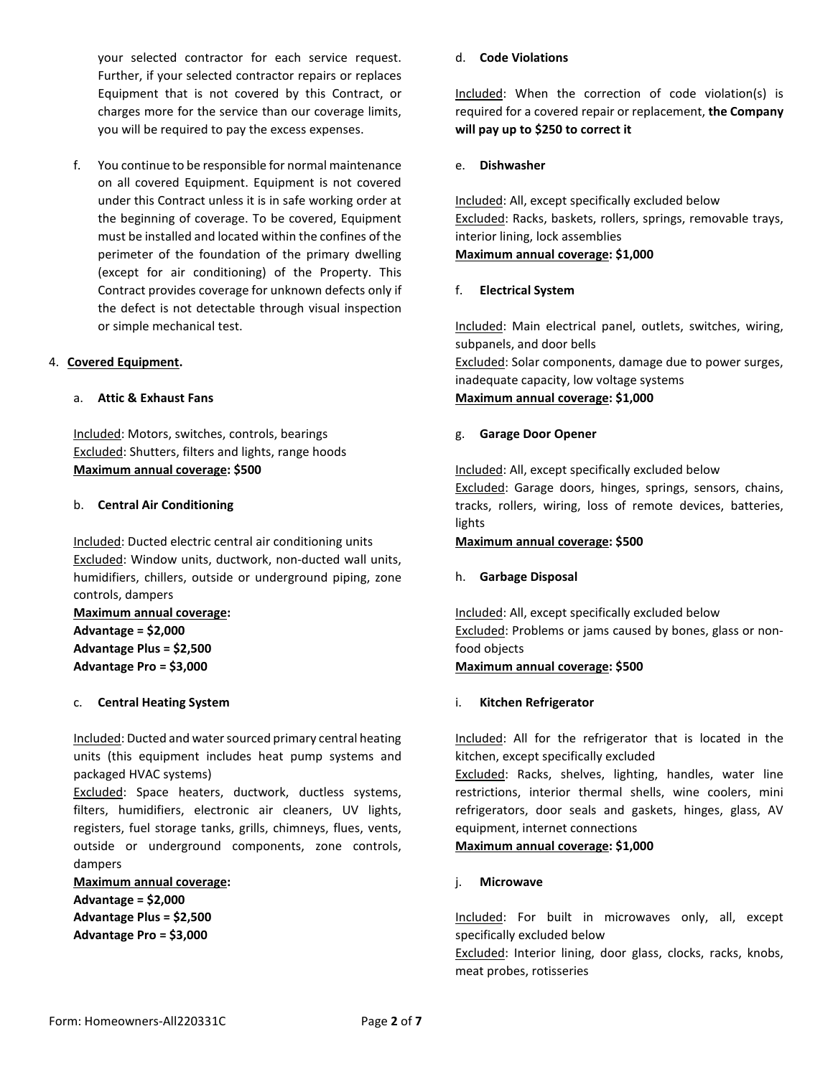your selected contractor for each service request. Further, if your selected contractor repairs or replaces Equipment that is not covered by this Contract, or charges more for the service than our coverage limits, you will be required to pay the excess expenses.

f. You continue to be responsible for normal maintenance on all covered Equipment. Equipment is not covered under this Contract unless it is in safe working order at the beginning of coverage. To be covered, Equipment must be installed and located within the confines of the perimeter of the foundation of the primary dwelling (except for air conditioning) of the Property. This Contract provides coverage for unknown defects only if the defect is not detectable through visual inspection or simple mechanical test.

## 4. **Covered Equipment.**

## a. **Attic & Exhaust Fans**

Included: Motors, switches, controls, bearings Excluded: Shutters, filters and lights, range hoods **Maximum annual coverage: \$500**

#### b. **Central Air Conditioning**

Included: Ducted electric central air conditioning units Excluded: Window units, ductwork, non-ducted wall units, humidifiers, chillers, outside or underground piping, zone controls, dampers

**Maximum annual coverage: Advantage = \$2,000 Advantage Plus = \$2,500 Advantage Pro = \$3,000**

#### c. **Central Heating System**

Included: Ducted and water sourced primary central heating units (this equipment includes heat pump systems and packaged HVAC systems)

Excluded: Space heaters, ductwork, ductless systems, filters, humidifiers, electronic air cleaners, UV lights, registers, fuel storage tanks, grills, chimneys, flues, vents, outside or underground components, zone controls, dampers

**Maximum annual coverage: Advantage = \$2,000 Advantage Plus = \$2,500 Advantage Pro = \$3,000**

#### d. **Code Violations**

Included: When the correction of code violation(s) is required for a covered repair or replacement, **the Company will pay up to \$250 to correct it**

## e. **Dishwasher**

Included: All, except specifically excluded below Excluded: Racks, baskets, rollers, springs, removable trays, interior lining, lock assemblies **Maximum annual coverage: \$1,000**

## f. **Electrical System**

Included: Main electrical panel, outlets, switches, wiring, subpanels, and door bells Excluded: Solar components, damage due to power surges, inadequate capacity, low voltage systems **Maximum annual coverage: \$1,000**

## g. **Garage Door Opener**

Included: All, except specifically excluded below Excluded: Garage doors, hinges, springs, sensors, chains, tracks, rollers, wiring, loss of remote devices, batteries, lights

#### **Maximum annual coverage: \$500**

# h. **Garbage Disposal**

Included: All, except specifically excluded below Excluded: Problems or jams caused by bones, glass or nonfood objects

#### **Maximum annual coverage: \$500**

# i. **Kitchen Refrigerator**

Included: All for the refrigerator that is located in the kitchen, except specifically excluded

Excluded: Racks, shelves, lighting, handles, water line restrictions, interior thermal shells, wine coolers, mini refrigerators, door seals and gaskets, hinges, glass, AV equipment, internet connections

#### **Maximum annual coverage: \$1,000**

#### j. **Microwave**

Included: For built in microwaves only, all, except specifically excluded below

Excluded: Interior lining, door glass, clocks, racks, knobs, meat probes, rotisseries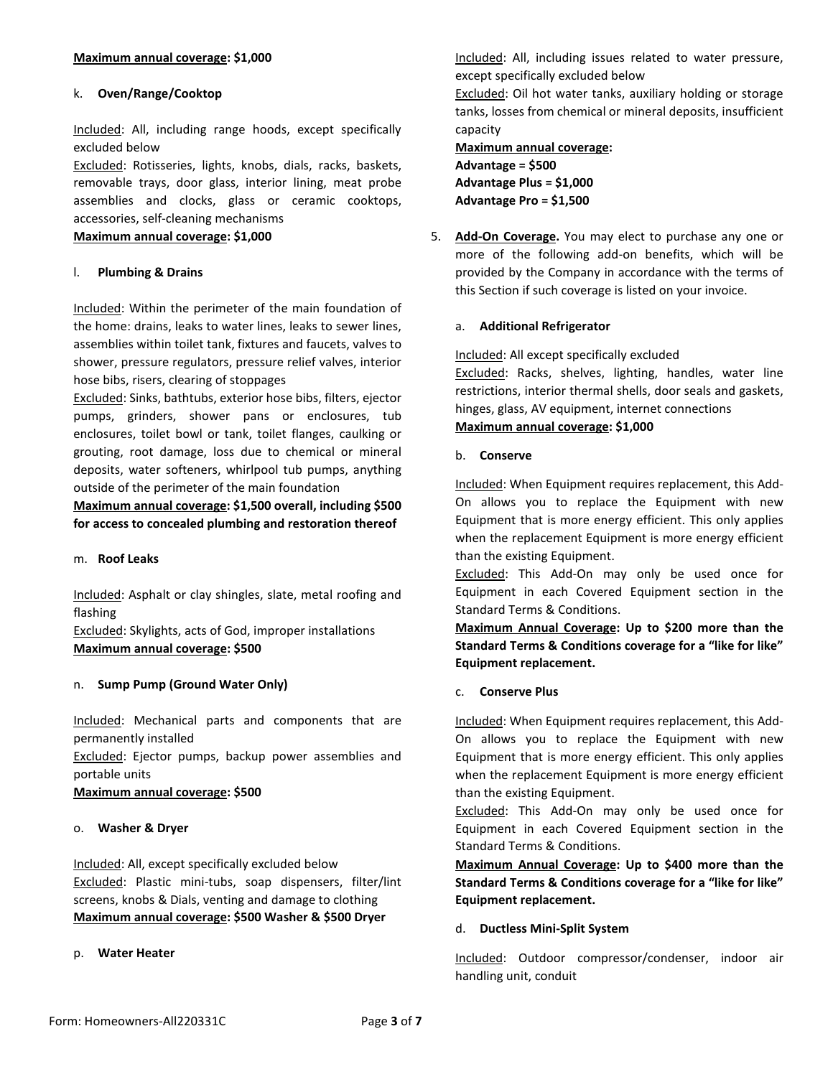# k. **Oven/Range/Cooktop**

Included: All, including range hoods, except specifically excluded below

Excluded: Rotisseries, lights, knobs, dials, racks, baskets, removable trays, door glass, interior lining, meat probe assemblies and clocks, glass or ceramic cooktops, accessories, self-cleaning mechanisms

**Maximum annual coverage: \$1,000**

# l. **Plumbing & Drains**

Included: Within the perimeter of the main foundation of the home: drains, leaks to water lines, leaks to sewer lines, assemblies within toilet tank, fixtures and faucets, valves to shower, pressure regulators, pressure relief valves, interior hose bibs, risers, clearing of stoppages

Excluded: Sinks, bathtubs, exterior hose bibs, filters, ejector pumps, grinders, shower pans or enclosures, tub enclosures, toilet bowl or tank, toilet flanges, caulking or grouting, root damage, loss due to chemical or mineral deposits, water softeners, whirlpool tub pumps, anything outside of the perimeter of the main foundation

**Maximum annual coverage: \$1,500 overall, including \$500 for access to concealed plumbing and restoration thereof**

#### m. **Roof Leaks**

Included: Asphalt or clay shingles, slate, metal roofing and flashing

Excluded: Skylights, acts of God, improper installations **Maximum annual coverage: \$500**

# n. **Sump Pump (Ground Water Only)**

Included: Mechanical parts and components that are permanently installed

Excluded: Ejector pumps, backup power assemblies and portable units

**Maximum annual coverage: \$500**

#### o. **Washer & Dryer**

Included: All, except specifically excluded below Excluded: Plastic mini-tubs, soap dispensers, filter/lint screens, knobs & Dials, venting and damage to clothing **Maximum annual coverage: \$500 Washer & \$500 Dryer**

#### p. **Water Heater**

Included: All, including issues related to water pressure, except specifically excluded below

Excluded: Oil hot water tanks, auxiliary holding or storage tanks, losses from chemical or mineral deposits, insufficient capacity

# **Maximum annual coverage: Advantage = \$500 Advantage Plus = \$1,000 Advantage Pro = \$1,500**

5. **Add-On Coverage.** You may elect to purchase any one or more of the following add-on benefits, which will be provided by the Company in accordance with the terms of this Section if such coverage is listed on your invoice.

## a. **Additional Refrigerator**

Included: All except specifically excluded

Excluded: Racks, shelves, lighting, handles, water line restrictions, interior thermal shells, door seals and gaskets, hinges, glass, AV equipment, internet connections **Maximum annual coverage: \$1,000**

#### b. **Conserve**

Included: When Equipment requires replacement, this Add-On allows you to replace the Equipment with new Equipment that is more energy efficient. This only applies when the replacement Equipment is more energy efficient than the existing Equipment.

Excluded: This Add-On may only be used once for Equipment in each Covered Equipment section in the Standard Terms & Conditions.

**Maximum Annual Coverage: Up to \$200 more than the Standard Terms & Conditions coverage for a "like for like" Equipment replacement.** 

c. **Conserve Plus**

Included: When Equipment requires replacement, this Add-On allows you to replace the Equipment with new Equipment that is more energy efficient. This only applies when the replacement Equipment is more energy efficient than the existing Equipment.

Excluded: This Add-On may only be used once for Equipment in each Covered Equipment section in the Standard Terms & Conditions.

**Maximum Annual Coverage: Up to \$400 more than the Standard Terms & Conditions coverage for a "like for like" Equipment replacement.** 

#### d. **Ductless Mini-Split System**

Included: Outdoor compressor/condenser, indoor air handling unit, conduit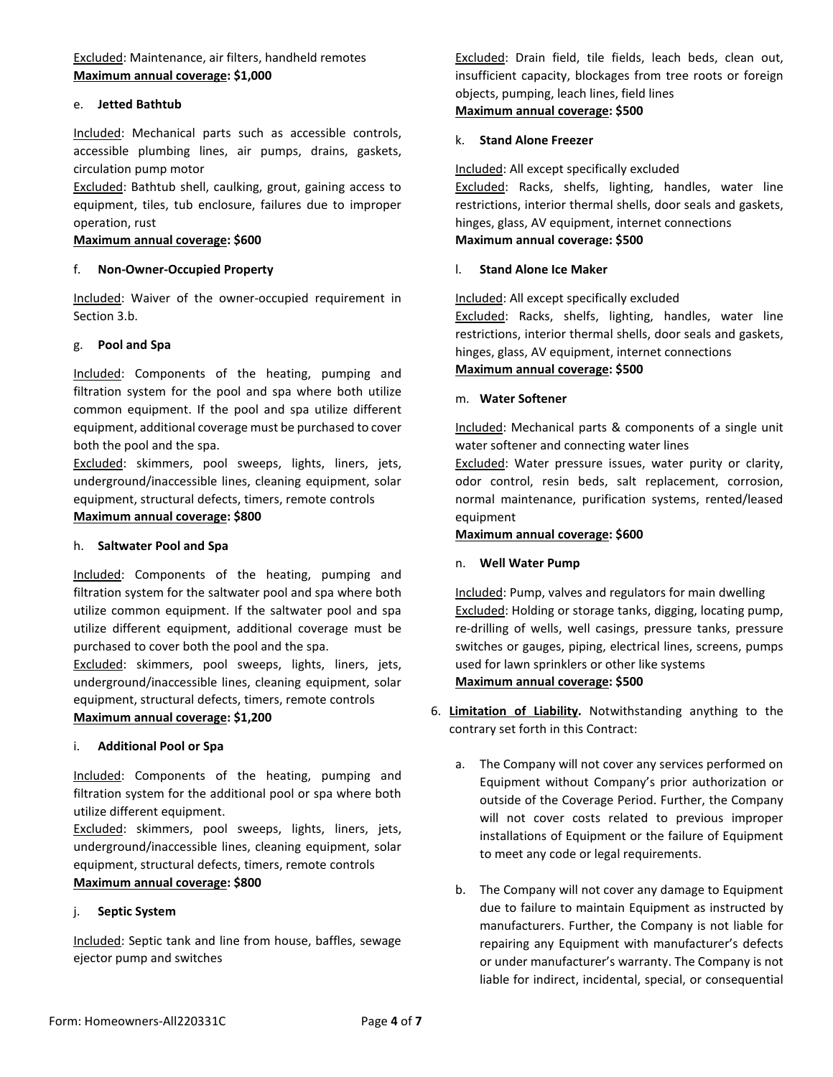Excluded: Maintenance, air filters, handheld remotes **Maximum annual coverage: \$1,000**

#### e. **Jetted Bathtub**

Included: Mechanical parts such as accessible controls, accessible plumbing lines, air pumps, drains, gaskets, circulation pump motor

Excluded: Bathtub shell, caulking, grout, gaining access to equipment, tiles, tub enclosure, failures due to improper operation, rust

#### **Maximum annual coverage: \$600**

#### f. **Non-Owner-Occupied Property**

Included: Waiver of the owner-occupied requirement in Section 3.b.

#### g. **Pool and Spa**

Included: Components of the heating, pumping and filtration system for the pool and spa where both utilize common equipment. If the pool and spa utilize different equipment, additional coverage must be purchased to cover both the pool and the spa.

Excluded: skimmers, pool sweeps, lights, liners, jets, underground/inaccessible lines, cleaning equipment, solar equipment, structural defects, timers, remote controls **Maximum annual coverage: \$800**

#### h. **Saltwater Pool and Spa**

Included: Components of the heating, pumping and filtration system for the saltwater pool and spa where both utilize common equipment. If the saltwater pool and spa utilize different equipment, additional coverage must be purchased to cover both the pool and the spa.

Excluded: skimmers, pool sweeps, lights, liners, jets, underground/inaccessible lines, cleaning equipment, solar equipment, structural defects, timers, remote controls **Maximum annual coverage: \$1,200**

#### i. **Additional Pool or Spa**

Included: Components of the heating, pumping and filtration system for the additional pool or spa where both utilize different equipment.

Excluded: skimmers, pool sweeps, lights, liners, jets, underground/inaccessible lines, cleaning equipment, solar equipment, structural defects, timers, remote controls **Maximum annual coverage: \$800**

j. **Septic System**

Included: Septic tank and line from house, baffles, sewage ejector pump and switches

Excluded: Drain field, tile fields, leach beds, clean out, insufficient capacity, blockages from tree roots or foreign objects, pumping, leach lines, field lines **Maximum annual coverage: \$500**

#### k. **Stand Alone Freezer**

Included: All except specifically excluded Excluded: Racks, shelfs, lighting, handles, water line restrictions, interior thermal shells, door seals and gaskets, hinges, glass, AV equipment, internet connections **Maximum annual coverage: \$500**

#### l. **Stand Alone Ice Maker**

Included: All except specifically excluded Excluded: Racks, shelfs, lighting, handles, water line restrictions, interior thermal shells, door seals and gaskets, hinges, glass, AV equipment, internet connections **Maximum annual coverage: \$500**

#### m. **Water Softener**

Included: Mechanical parts & components of a single unit water softener and connecting water lines

Excluded: Water pressure issues, water purity or clarity, odor control, resin beds, salt replacement, corrosion, normal maintenance, purification systems, rented/leased equipment

# **Maximum annual coverage: \$600**

n. **Well Water Pump**

Included: Pump, valves and regulators for main dwelling Excluded: Holding or storage tanks, digging, locating pump, re-drilling of wells, well casings, pressure tanks, pressure switches or gauges, piping, electrical lines, screens, pumps used for lawn sprinklers or other like systems **Maximum annual coverage: \$500**

- 6. **Limitation of Liability.** Notwithstanding anything to the contrary set forth in this Contract:
	- a. The Company will not cover any services performed on Equipment without Company's prior authorization or outside of the Coverage Period. Further, the Company will not cover costs related to previous improper installations of Equipment or the failure of Equipment to meet any code or legal requirements.
	- b. The Company will not cover any damage to Equipment due to failure to maintain Equipment as instructed by manufacturers. Further, the Company is not liable for repairing any Equipment with manufacturer's defects or under manufacturer's warranty. The Company is not liable for indirect, incidental, special, or consequential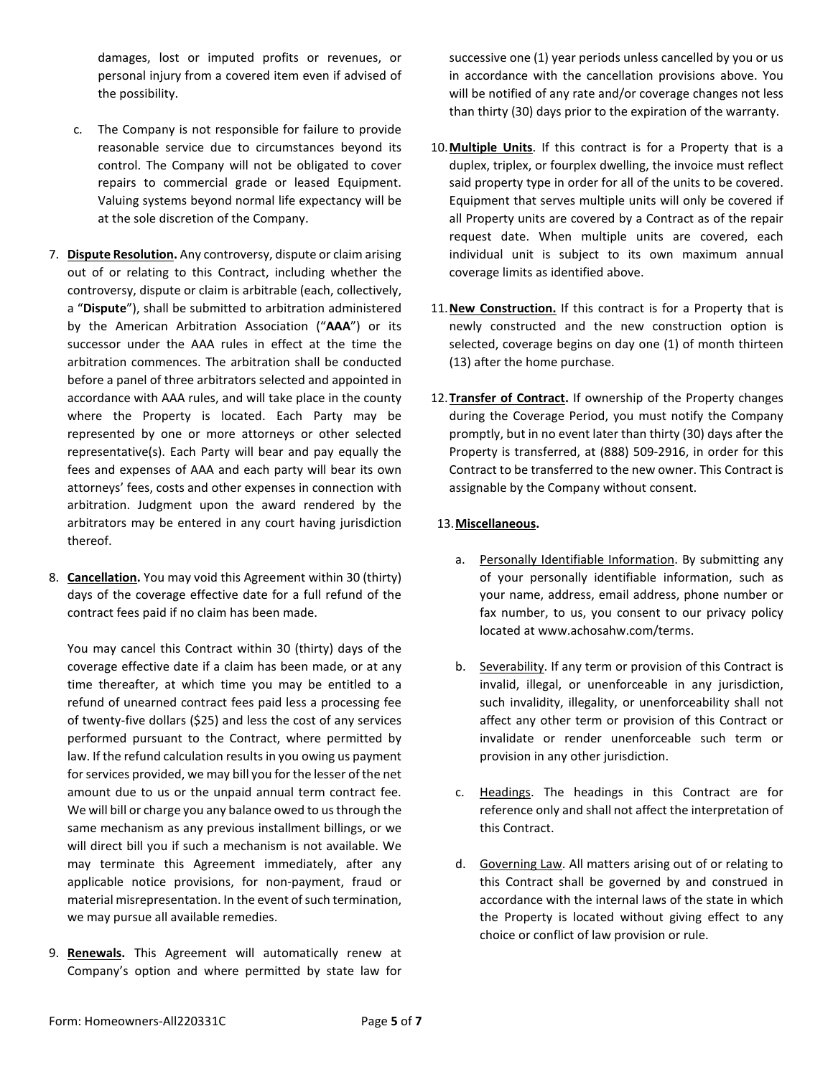damages, lost or imputed profits or revenues, or personal injury from a covered item even if advised of the possibility.

- c. The Company is not responsible for failure to provide reasonable service due to circumstances beyond its control. The Company will not be obligated to cover repairs to commercial grade or leased Equipment. Valuing systems beyond normal life expectancy will be at the sole discretion of the Company.
- 7. **Dispute Resolution.** Any controversy, dispute or claim arising out of or relating to this Contract, including whether the controversy, dispute or claim is arbitrable (each, collectively, a "**Dispute**"), shall be submitted to arbitration administered by the American Arbitration Association ("**AAA**") or its successor under the AAA rules in effect at the time the arbitration commences. The arbitration shall be conducted before a panel of three arbitrators selected and appointed in accordance with AAA rules, and will take place in the county where the Property is located. Each Party may be represented by one or more attorneys or other selected representative(s). Each Party will bear and pay equally the fees and expenses of AAA and each party will bear its own attorneys' fees, costs and other expenses in connection with arbitration. Judgment upon the award rendered by the arbitrators may be entered in any court having jurisdiction thereof.
- 8. **Cancellation.** You may void this Agreement within 30 (thirty) days of the coverage effective date for a full refund of the contract fees paid if no claim has been made.

You may cancel this Contract within 30 (thirty) days of the coverage effective date if a claim has been made, or at any time thereafter, at which time you may be entitled to a refund of unearned contract fees paid less a processing fee of twenty-five dollars (\$25) and less the cost of any services performed pursuant to the Contract, where permitted by law. If the refund calculation results in you owing us payment for services provided, we may bill you for the lesser of the net amount due to us or the unpaid annual term contract fee. We will bill or charge you any balance owed to us through the same mechanism as any previous installment billings, or we will direct bill you if such a mechanism is not available. We may terminate this Agreement immediately, after any applicable notice provisions, for non-payment, fraud or material misrepresentation. In the event of such termination, we may pursue all available remedies.

9. **Renewals.** This Agreement will automatically renew at Company's option and where permitted by state law for successive one (1) year periods unless cancelled by you or us in accordance with the cancellation provisions above. You will be notified of any rate and/or coverage changes not less than thirty (30) days prior to the expiration of the warranty.

- 10.**Multiple Units**. If this contract is for a Property that is a duplex, triplex, or fourplex dwelling, the invoice must reflect said property type in order for all of the units to be covered. Equipment that serves multiple units will only be covered if all Property units are covered by a Contract as of the repair request date. When multiple units are covered, each individual unit is subject to its own maximum annual coverage limits as identified above.
- 11.**New Construction.** If this contract is for a Property that is newly constructed and the new construction option is selected, coverage begins on day one (1) of month thirteen (13) after the home purchase.
- 12.**Transfer of Contract.** If ownership of the Property changes during the Coverage Period, you must notify the Company promptly, but in no event later than thirty (30) days after the Property is transferred, at (888) 509-2916, in order for this Contract to be transferred to the new owner. This Contract is assignable by the Company without consent.

# 13.**Miscellaneous.**

- a. Personally Identifiable Information. By submitting any of your personally identifiable information, such as your name, address, email address, phone number or fax number, to us, you consent to our privacy policy located at www.achosahw.com/terms.
- b. Severability. If any term or provision of this Contract is invalid, illegal, or unenforceable in any jurisdiction, such invalidity, illegality, or unenforceability shall not affect any other term or provision of this Contract or invalidate or render unenforceable such term or provision in any other jurisdiction.
- c. Headings. The headings in this Contract are for reference only and shall not affect the interpretation of this Contract.
- d. Governing Law. All matters arising out of or relating to this Contract shall be governed by and construed in accordance with the internal laws of the state in which the Property is located without giving effect to any choice or conflict of law provision or rule.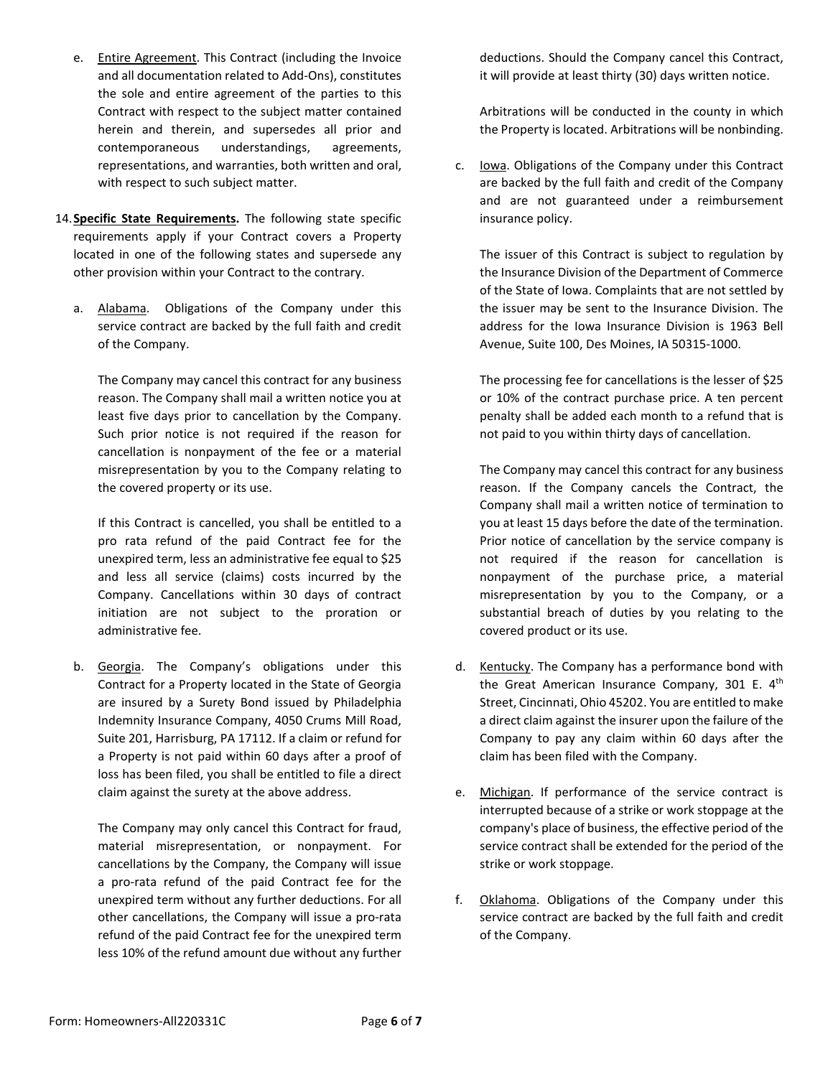- e. Entire Agreement. This Contract (including the Invoice and all documentation related to Add-Ons), constitutes the sole and entire agreement of the parties to this Contract with respect to the subject matter contained herein and therein, and supersedes all prior and contemporaneous understandings, agreements, representations, and warranties, both written and oral, with respect to such subject matter.
- 14.**Specific State Requirements.** The following state specific requirements apply if your Contract covers a Property located in one of the following states and supersede any other provision within your Contract to the contrary.
	- a. Alabama. Obligations of the Company under this service contract are backed by the full faith and credit of the Company.

The Company may cancel this contract for any business reason. The Company shall mail a written notice you at least five days prior to cancellation by the Company. Such prior notice is not required if the reason for cancellation is nonpayment of the fee or a material misrepresentation by you to the Company relating to the covered property or its use.

If this Contract is cancelled, you shall be entitled to a pro rata refund of the paid Contract fee for the unexpired term, less an administrative fee equal to \$25 and less all service (claims) costs incurred by the Company. Cancellations within 30 days of contract initiation are not subject to the proration or administrative fee.

b. Georgia. The Company's obligations under this Contract for a Property located in the State of Georgia are insured by a Surety Bond issued by Philadelphia Indemnity Insurance Company, 4050 Crums Mill Road, Suite 201, Harrisburg, PA 17112. If a claim or refund for a Property is not paid within 60 days after a proof of loss has been filed, you shall be entitled to file a direct claim against the surety at the above address.

The Company may only cancel this Contract for fraud, material misrepresentation, or nonpayment. For cancellations by the Company, the Company will issue a pro-rata refund of the paid Contract fee for the unexpired term without any further deductions. For all other cancellations, the Company will issue a pro-rata refund of the paid Contract fee for the unexpired term less 10% of the refund amount due without any further deductions. Should the Company cancel this Contract, it will provide at least thirty (30) days written notice.

Arbitrations will be conducted in the county in which the Property is located. Arbitrations will be nonbinding.

c. Iowa. Obligations of the Company under this Contract are backed by the full faith and credit of the Company and are not guaranteed under a reimbursement insurance policy.

The issuer of this Contract is subject to regulation by the Insurance Division of the Department of Commerce of the State of Iowa. Complaints that are not settled by the issuer may be sent to the Insurance Division. The address for the Iowa Insurance Division is 1963 Bell Avenue, Suite 100, Des Moines, IA 50315-1000.

The processing fee for cancellations is the lesser of \$25 or 10% of the contract purchase price. A ten percent penalty shall be added each month to a refund that is not paid to you within thirty days of cancellation.

The Company may cancel this contract for any business reason. If the Company cancels the Contract, the Company shall mail a written notice of termination to you at least 15 days before the date of the termination. Prior notice of cancellation by the service company is not required if the reason for cancellation is nonpayment of the purchase price, a material misrepresentation by you to the Company, or a substantial breach of duties by you relating to the covered product or its use.

- d. Kentucky. The Company has a performance bond with the Great American Insurance Company, 301 E. 4th Street, Cincinnati, Ohio 45202. You are entitled to make a direct claim against the insurer upon the failure of the Company to pay any claim within 60 days after the claim has been filed with the Company.
- e. Michigan. If performance of the service contract is interrupted because of a strike or work stoppage at the company's place of business, the effective period of the service contract shall be extended for the period of the strike or work stoppage.
- f. Oklahoma. Obligations of the Company under this service contract are backed by the full faith and credit of the Company.